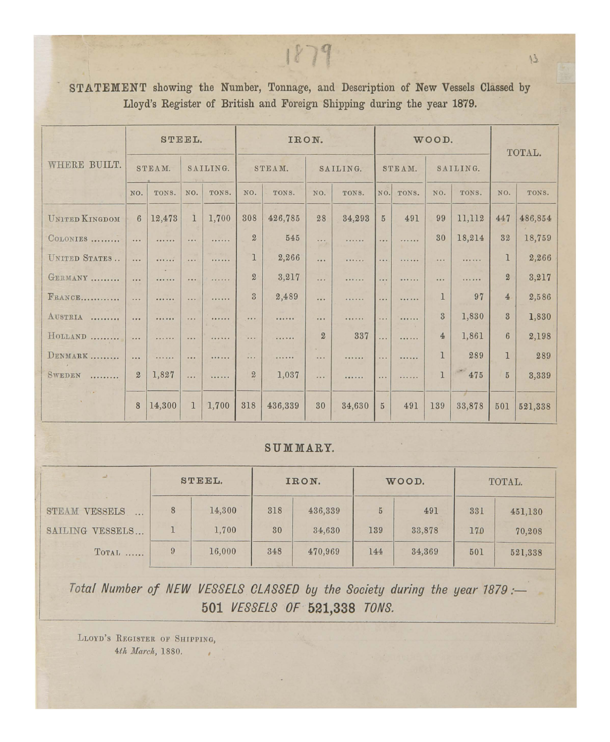## STATEMENT showing the Number, Tonnage, and Description of New Vessels Classed by Lloyd's Register of British and Foreign Shipping during the year 1879.

 $1879$ 

|                       |                |        | STEEL.        |          |                  |         | IRON.          |          |                       |                      | WOOD.          |              |                | TOTAL.  |
|-----------------------|----------------|--------|---------------|----------|------------------|---------|----------------|----------|-----------------------|----------------------|----------------|--------------|----------------|---------|
| WHERE BUILT.          |                | STEAM. |               | SAILING. |                  | STEAM.  |                | SAILING. |                       | STEAM.               |                | SAILING.     |                |         |
|                       | NO.            | TONS.  | NO.           | TONS.    | NO.              | TONS.   | NO.            | TONS.    | NO.                   | TONS.                | NO.            | TONS.        | NO.            | TONS.   |
| <b>UNITED KINGDOM</b> | 6              | 12,473 | $\mathbf{1}$  | 1,700    | 308              | 426,785 | 28             | 34,293   | $\bf 5$               | 491                  | 99             | 11,112       | 447            | 486,854 |
| COLONIES              | $\cdots$       |        |               |          | $\boldsymbol{2}$ | 545     | $\cdots$       |          |                       |                      | 30             | 18,214       | 32             | 18,759  |
| UNITED STATES         | $\cdots$       |        | $\cdots$      | .        | $\mathbf 1$      | 2,266   | $\cdots$       | 11111111 | $\cdots$              | <b><i>CASTER</i></b> | $\cdots$       |              | $\mathbf{1}$   | 2,266   |
| GERMANY               | $\cdots$       |        |               | .        | $\overline{2}$   | 3,217   | $\cdots$       |          | $\cdots$              | .                    |                | .            | $\overline{2}$ | 3,217   |
| FRANCE                | $\cdots$       |        | $\cdots$      | .        | $\overline{3}$   | 2,489   | $\cdots$       |          |                       |                      | $\mathbf{1}$   | 97           | $\overline{4}$ | 2,586   |
| AUSTRIA               | 1.418          |        | $\frac{1}{2}$ |          |                  |         | 1.11           |          | $\cdots$              |                      | $\overline{3}$ | 1,830        | $\overline{3}$ | 1,830   |
| HOLLAND               |                | .      |               |          |                  |         | $\overline{2}$ | 337      | $\dddot{\phantom{0}}$ |                      | $\overline{4}$ | 1,861        | $6\phantom{1}$ | 2,198   |
| DENMARK               | $\cdots$       | .      | $\cdots$      |          |                  | .       |                |          | 1.1.1                 | .                    | $\overline{1}$ | 289          | 1              | 289     |
| <b>SWEDEN</b><br>.    | $\overline{2}$ | 1,827  | $\cdots$      |          | $\boldsymbol{2}$ | 1,037   | $-111$         |          | .                     | .                    | $\mathbf{I}$   | 475          | $\overline{5}$ | 3,339   |
|                       | 8              | 14,300 | 1             | 1,700    | 318              | 436,339 | 30             | 34,630   | $\overline{5}$        | 491                  | 139            | W.<br>33,878 | 501            | 521,338 |

## SUMMARY.

|                 |   | STEEL. |     | IRON.   |     | WOOD.  | TOTAL. |         |  |
|-----------------|---|--------|-----|---------|-----|--------|--------|---------|--|
| STEAM VESSELS   | 8 | 14,300 | 318 | 436,339 | 5   | 491    | 331    | 451,130 |  |
| SAILING VESSELS |   | 1,700  | 30  | 34,630  | 139 | 33,878 | 170    | 70,208  |  |
| TOTAL           | 9 | 16,000 | 348 | 470,969 | 144 | 34,369 | 501    | 521,338 |  |

Total Number of NEW VESSELS CLASSED by the Society during the year 1879 :-501 VESSELS OF 521,338 TONS.

LLOYD'S REGISTER OF SHIPPING, 4th March, 1880. J.

 $13$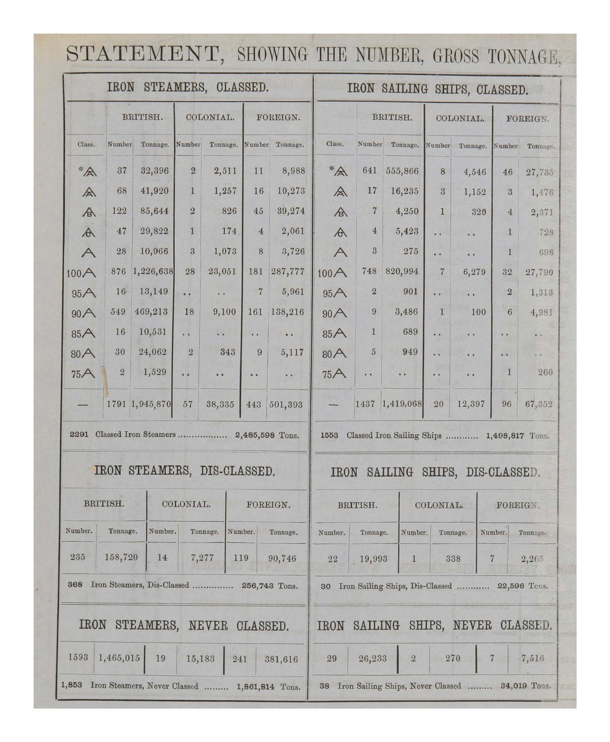## STATEMENT, SHOWING THE NUMBER, GROSS TONNAGE,

|              | <b>IRON</b>    |                                               |                | STEAMERS, CLASSED.   |                |                                                   |              |                  | IRON SAILING SHIPS, CLASSED.                    |                          |                       |                |                     |
|--------------|----------------|-----------------------------------------------|----------------|----------------------|----------------|---------------------------------------------------|--------------|------------------|-------------------------------------------------|--------------------------|-----------------------|----------------|---------------------|
|              |                | BRITISH.                                      |                | COLONIAL.            |                | FOREIGN.                                          |              |                  | BRITISH.                                        | COLONIAL.                |                       | FOREIGN.       |                     |
| Class.       | Number         | Tonnage.                                      | Number         | Tonnage.             |                | Number Tonnage.                                   | Class.       | Number           | Tonnage.                                        | Number                   | Tonnage.              | Number         | Tonnage.            |
| $*_{A^*}$    | 37             | 32,396                                        | $\overline{2}$ | 2,511                | 11             | 8,988                                             | $*_{A}$      | 641              | 555,866                                         | 8                        | 4,546                 | 46             | 27,735              |
| 今            | 68             | 41,920                                        | $\mathbf{1}$   | 1,257                | 16             | 10,273                                            | $\mathbb{A}$ | 17               | 16,235                                          | $\overline{3}$           | 1,152                 | 3              | 1,476               |
| A            | 122            | 85,644                                        | $\overline{2}$ | 826                  | 45             | 39,274                                            |              | $\overline{7}$   | 4,250                                           | $\mathbf{1}$             | 320                   | $\overline{4}$ | 2,371               |
| $\mathbb{A}$ | 47             | 29,822                                        | $\mathbf{1}$   | 174                  | $\overline{4}$ | 2,061                                             | $\forall$    | $\overline{4}$   | 5,423                                           | $\ddot{\phantom{a}}$     |                       | 4              | 728                 |
| $\wedge$     | 28             | 10,966                                        | $\overline{3}$ | 1,073                | 8              | 3,726                                             | $\forall$    | $\boldsymbol{3}$ | 275                                             | $\bullet$                | $\bullet$             | 1              | 698                 |
| 100A         | 876            | 1,226,638                                     | 28             | 23,051               | 181            | 287,777                                           | 100A         | 748              | 820,994                                         | $\overline{7}$           | 6,279                 | $32\,$         | 27,790              |
| 95A          | 16             | 13,149                                        | . .            | $\ddot{\phantom{a}}$ | $\overline{7}$ | 5,961                                             | 95A          | $\overline{2}$   | 901                                             | $\bullet$                | $\ddot{\phantom{a}}$  | $\overline{2}$ | 1,313               |
| 90A          | 549            | 469,213                                       | 18             | 9,100                | 161            | 138,216                                           | 90A          | $\boldsymbol{9}$ | 3,486                                           | 1                        | 100                   | 6              | 4,981               |
| 85A          | 16             | 10,531                                        | . .            | $\ddot{\phantom{a}}$ | $\bullet$      | $\bullet$                                         | 85A          | $\mathbf{1}$     | 689                                             | $\overline{\phantom{a}}$ | $\bullet$             | $\bullet$      | $\bullet$ $\bullet$ |
| 80A          | 30             | 24,062                                        | $\overline{2}$ | 343                  | 9              | 5,117                                             | 80A          | $\sqrt{5}$       | 949                                             | . .                      | $\cdot$ $\cdot$       | $\bullet$ .    | $\bullet$           |
| 75A          | $\overline{2}$ | 1,529                                         | . .            | $\cdot$              | $\bullet$      | $\begin{array}{cc} \bullet & \bullet \end{array}$ | 75A          | $\bullet$        | $\theta$                                        | $\bullet$                | . .                   | 1              | 260                 |
|              |                | 1791 1,945,870                                | 57             | 38,335               | 443            | 501,393                                           |              | 1437             | 1,419,068                                       | 20                       | 12,397                | 96             | 67,352              |
| 2291         |                | Classed Iron Steamers                         |                |                      |                | 2,485,598 Tons.                                   | 1553         |                  | Classed Iron Sailing Ships  1,498,817 Tons.     |                          |                       |                |                     |
|              |                | IRON STEAMERS, DIS-CLASSED.                   |                |                      |                |                                                   | <b>IRON</b>  |                  | SAILING                                         |                          | SHIPS, DIS-CLASSED.   |                |                     |
|              | BRITISH.       |                                               | COLONIAL.      |                      |                | FOREIGN.                                          |              | BRITISH.         |                                                 | COLONIAL.                |                       | FOREIGN.       |                     |
| Number.      | Tonnage.       | Number.                                       |                | Tonnage.             | Number.        | Tonnage.                                          | Number.      | Tonnage.         | Number.                                         |                          | Tonnage.              | Number.        | Tonnage.            |
| 235          | 158,720        | 14                                            |                | 7,277<br>119         |                | 90,746                                            | 22           | 19,993           | $\mathbf{1}$                                    |                          | 338                   | $\overline{7}$ | 2,265               |
| 368          |                | Iron Steamers, Dis-Classed  256,743 Tons.     |                |                      |                |                                                   | 30           |                  | Iron Sailing Ships, Dis-Classed                 |                          |                       |                | 22,596 Tons.        |
| <b>IRON</b>  |                | STEAMERS, NEVER CLASSED.                      |                |                      |                |                                                   | <b>IRON</b>  | SAILING          |                                                 |                          | SHIPS, NEVER CLASSED. |                |                     |
| 1593         | 1,465,015      | 19                                            | 15,183         | 241                  |                | 381,616                                           | 29           | 26,233           | $\sqrt{2}$                                      |                          | 270                   | 7              | 7,516               |
| 1,853        |                | Iron Steamers, Never Classed  1,861,814 Tons. |                |                      |                |                                                   | 38           |                  | Iron Sailing Ships, Never Classed  34,019 Tons. |                          |                       |                |                     |